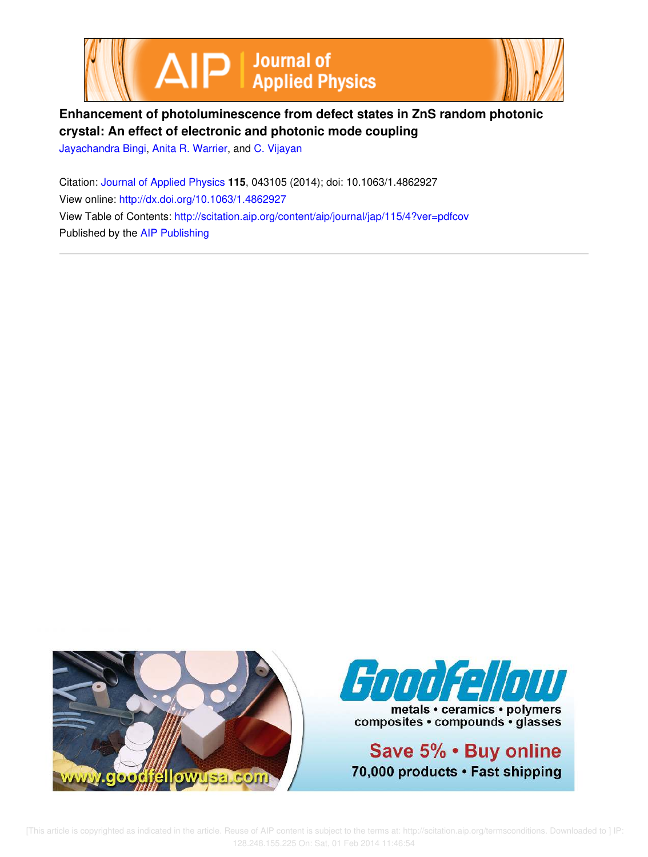



# **Enhancement of photoluminescence from defect states in ZnS random photonic crystal: An effect of electronic and photonic mode coupling**

Jayachandra Bingi, Anita R. Warrier, and C. Vijayan

Citation: Journal of Applied Physics **115**, 043105 (2014); doi: 10.1063/1.4862927 View online: http://dx.doi.org/10.1063/1.4862927 View Table of Contents: http://scitation.aip.org/content/aip/journal/jap/115/4?ver=pdfcov Published by the AIP Publishing





metals • ceramics • polymers composites · compounds · glasses

Save 5% . Buy online 70,000 products · Fast shipping

 [This article is copyrighted as indicated in the article. Reuse of AIP content is subject to the terms at: http://scitation.aip.org/termsconditions. Downloaded to ] IP: 128.248.155.225 On: Sat, 01 Feb 2014 11:46:54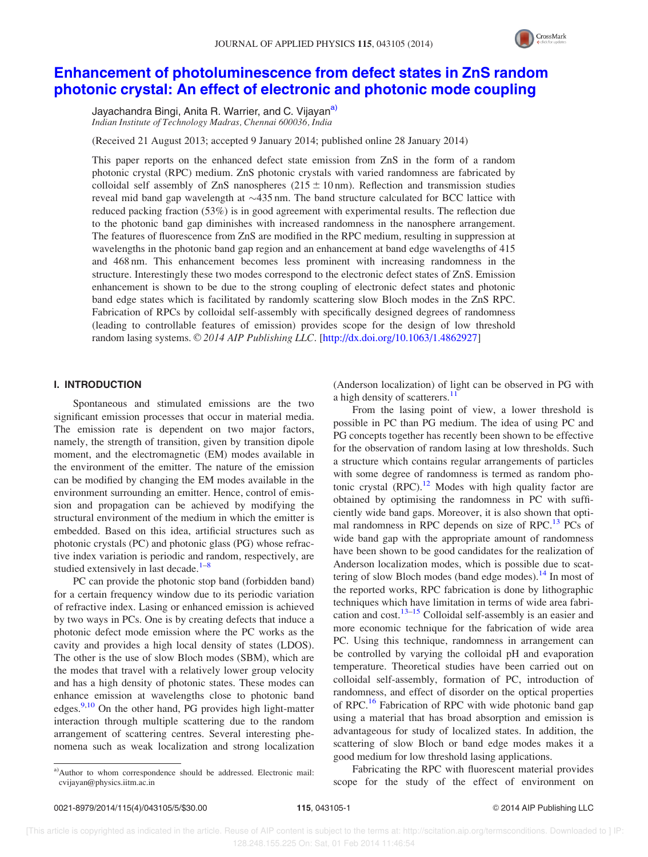

## Enhancement of photoluminescence from defect states in ZnS random photonic crystal: An effect of electronic and photonic mode coupling

Jayachandra Bingi, Anita R. Warrier, and C. Vijayan<sup>a)</sup> Indian Institute of Technology Madras, Chennai 600036, India

(Received 21 August 2013; accepted 9 January 2014; published online 28 January 2014)

This paper reports on the enhanced defect state emission from ZnS in the form of a random photonic crystal (RPC) medium. ZnS photonic crystals with varied randomness are fabricated by colloidal self assembly of ZnS nanospheres  $(215 \pm 10 \text{ nm})$ . Reflection and transmission studies reveal mid band gap wavelength at  $\sim$ 435 nm. The band structure calculated for BCC lattice with reduced packing fraction (53%) is in good agreement with experimental results. The reflection due to the photonic band gap diminishes with increased randomness in the nanosphere arrangement. The features of fluorescence from ZnS are modified in the RPC medium, resulting in suppression at wavelengths in the photonic band gap region and an enhancement at band edge wavelengths of 415 and 468 nm. This enhancement becomes less prominent with increasing randomness in the structure. Interestingly these two modes correspond to the electronic defect states of ZnS. Emission enhancement is shown to be due to the strong coupling of electronic defect states and photonic band edge states which is facilitated by randomly scattering slow Bloch modes in the ZnS RPC. Fabrication of RPCs by colloidal self-assembly with specifically designed degrees of randomness (leading to controllable features of emission) provides scope for the design of low threshold random lasing systems.  $\odot$  2014 AIP Publishing LLC. [http://dx.doi.org/10.1063/1.4862927]

#### I. INTRODUCTION

Spontaneous and stimulated emissions are the two significant emission processes that occur in material media. The emission rate is dependent on two major factors, namely, the strength of transition, given by transition dipole moment, and the electromagnetic (EM) modes available in the environment of the emitter. The nature of the emission can be modified by changing the EM modes available in the environment surrounding an emitter. Hence, control of emission and propagation can be achieved by modifying the structural environment of the medium in which the emitter is embedded. Based on this idea, artificial structures such as photonic crystals (PC) and photonic glass (PG) whose refractive index variation is periodic and random, respectively, are studied extensively in last decade. $1-8$ 

PC can provide the photonic stop band (forbidden band) for a certain frequency window due to its periodic variation of refractive index. Lasing or enhanced emission is achieved by two ways in PCs. One is by creating defects that induce a photonic defect mode emission where the PC works as the cavity and provides a high local density of states (LDOS). The other is the use of slow Bloch modes (SBM), which are the modes that travel with a relatively lower group velocity and has a high density of photonic states. These modes can enhance emission at wavelengths close to photonic band edges. $9,10$  On the other hand, PG provides high light-matter interaction through multiple scattering due to the random arrangement of scattering centres. Several interesting phenomena such as weak localization and strong localization (Anderson localization) of light can be observed in PG with a high density of scatterers.<sup>11</sup>

From the lasing point of view, a lower threshold is possible in PC than PG medium. The idea of using PC and PG concepts together has recently been shown to be effective for the observation of random lasing at low thresholds. Such a structure which contains regular arrangements of particles with some degree of randomness is termed as random photonic crystal  $(RPC)$ .<sup>12</sup> Modes with high quality factor are obtained by optimising the randomness in PC with sufficiently wide band gaps. Moreover, it is also shown that optimal randomness in RPC depends on size of RPC.<sup>13</sup> PCs of wide band gap with the appropriate amount of randomness have been shown to be good candidates for the realization of Anderson localization modes, which is possible due to scattering of slow Bloch modes (band edge modes). $^{14}$  In most of the reported works, RPC fabrication is done by lithographic techniques which have limitation in terms of wide area fabrication and  $cost^{13-15}$  Colloidal self-assembly is an easier and more economic technique for the fabrication of wide area PC. Using this technique, randomness in arrangement can be controlled by varying the colloidal pH and evaporation temperature. Theoretical studies have been carried out on colloidal self-assembly, formation of PC, introduction of randomness, and effect of disorder on the optical properties of RPC.<sup>16</sup> Fabrication of RPC with wide photonic band gap using a material that has broad absorption and emission is advantageous for study of localized states. In addition, the scattering of slow Bloch or band edge modes makes it a good medium for low threshold lasing applications.

Fabricating the RPC with fluorescent material provides scope for the study of the effect of environment on

a)Author to whom correspondence should be addressed. Electronic mail: cvijayan@physics.iitm.ac.in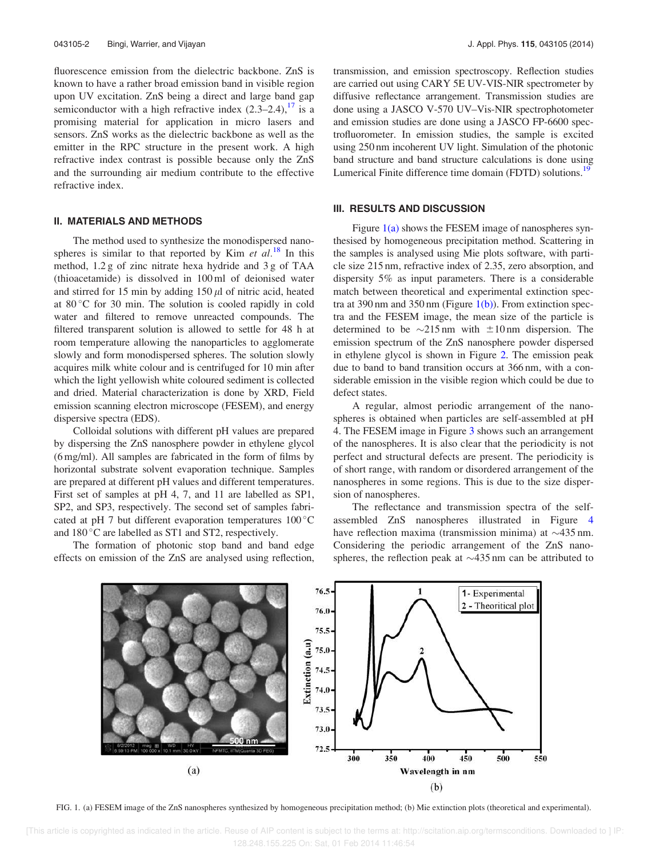fluorescence emission from the dielectric backbone. ZnS is known to have a rather broad emission band in visible region upon UV excitation. ZnS being a direct and large band gap semiconductor with a high refractive index  $(2.3-2.4)$ ,  $17$  is a promising material for application in micro lasers and sensors. ZnS works as the dielectric backbone as well as the emitter in the RPC structure in the present work. A high refractive index contrast is possible because only the ZnS and the surrounding air medium contribute to the effective refractive index.

#### II. MATERIALS AND METHODS

The method used to synthesize the monodispersed nanospheres is similar to that reported by Kim *et al.*<sup>18</sup> In this method, 1.2 g of zinc nitrate hexa hydride and 3 g of TAA (thioacetamide) is dissolved in 100 ml of deionised water and stirred for 15 min by adding  $150 \mu l$  of nitric acid, heated at  $80^{\circ}$ C for 30 min. The solution is cooled rapidly in cold water and filtered to remove unreacted compounds. The filtered transparent solution is allowed to settle for 48 h at room temperature allowing the nanoparticles to agglomerate slowly and form monodispersed spheres. The solution slowly acquires milk white colour and is centrifuged for 10 min after which the light yellowish white coloured sediment is collected and dried. Material characterization is done by XRD, Field emission scanning electron microscope (FESEM), and energy dispersive spectra (EDS).

Colloidal solutions with different pH values are prepared by dispersing the ZnS nanosphere powder in ethylene glycol (6 mg/ml). All samples are fabricated in the form of films by horizontal substrate solvent evaporation technique. Samples are prepared at different pH values and different temperatures. First set of samples at pH 4, 7, and 11 are labelled as SP1, SP2, and SP3, respectively. The second set of samples fabricated at pH 7 but different evaporation temperatures  $100^{\circ}$ C and  $180^{\circ}$ C are labelled as ST1 and ST2, respectively.

The formation of photonic stop band and band edge effects on emission of the ZnS are analysed using reflection, transmission, and emission spectroscopy. Reflection studies are carried out using CARY 5E UV-VIS-NIR spectrometer by diffusive reflectance arrangement. Transmission studies are done using a JASCO V-570 UV–Vis-NIR spectrophotometer and emission studies are done using a JASCO FP-6600 spectrofluorometer. In emission studies, the sample is excited using 250 nm incoherent UV light. Simulation of the photonic band structure and band structure calculations is done using Lumerical Finite difference time domain (FDTD) solutions.<sup>19</sup>

#### III. RESULTS AND DISCUSSION

Figure  $1(a)$  shows the FESEM image of nanospheres synthesised by homogeneous precipitation method. Scattering in the samples is analysed using Mie plots software, with particle size 215 nm, refractive index of 2.35, zero absorption, and dispersity 5% as input parameters. There is a considerable match between theoretical and experimental extinction spectra at 390 nm and 350 nm (Figure  $1(b)$ ). From extinction spectra and the FESEM image, the mean size of the particle is determined to be  $\sim$ 215 nm with  $\pm$ 10 nm dispersion. The emission spectrum of the ZnS nanosphere powder dispersed in ethylene glycol is shown in Figure 2. The emission peak due to band to band transition occurs at 366 nm, with a considerable emission in the visible region which could be due to defect states.

A regular, almost periodic arrangement of the nanospheres is obtained when particles are self-assembled at pH 4. The FESEM image in Figure 3 shows such an arrangement of the nanospheres. It is also clear that the periodicity is not perfect and structural defects are present. The periodicity is of short range, with random or disordered arrangement of the nanospheres in some regions. This is due to the size dispersion of nanospheres.

The reflectance and transmission spectra of the selfassembled ZnS nanospheres illustrated in Figure 4 have reflection maxima (transmission minima) at  $\sim$ 435 nm. Considering the periodic arrangement of the ZnS nanospheres, the reflection peak at  $\sim$  435 nm can be attributed to



FIG. 1. (a) FESEM image of the ZnS nanospheres synthesized by homogeneous precipitation method; (b) Mie extinction plots (theoretical and experimental).

 [This article is copyrighted as indicated in the article. Reuse of AIP content is subject to the terms at: http://scitation.aip.org/termsconditions. Downloaded to ] IP: 128.248.155.225 On: Sat, 01 Feb 2014 11:46:54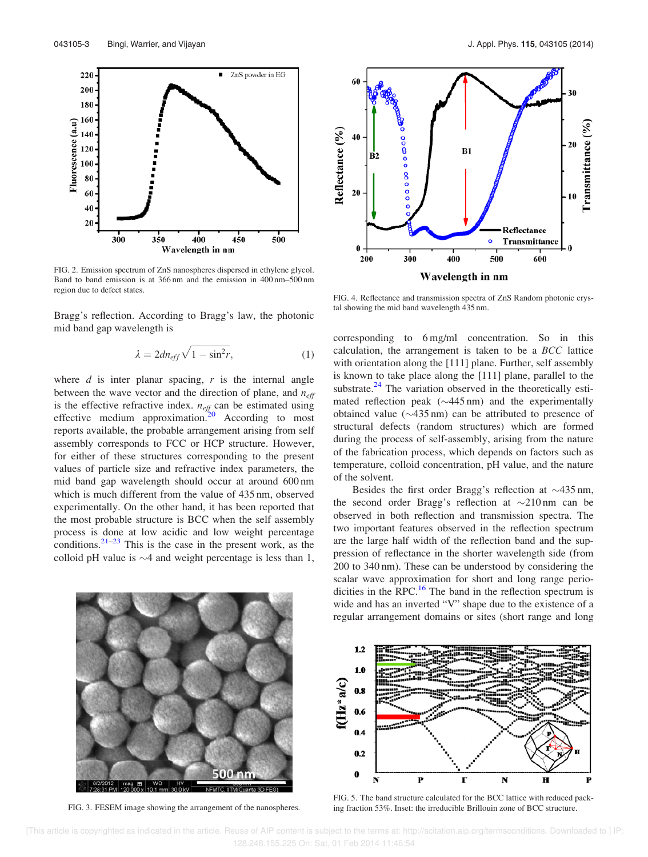

FIG. 2. Emission spectrum of ZnS nanospheres dispersed in ethylene glycol. Band to band emission is at 366 nm and the emission in 400 nm–500 nm region due to defect states.

Bragg's reflection. According to Bragg's law, the photonic mid band gap wavelength is

$$
\lambda = 2dn_{eff}\sqrt{1 - \sin^2 r},\tag{1}
$$

where  $d$  is inter planar spacing,  $r$  is the internal angle between the wave vector and the direction of plane, and  $n_{\text{eff}}$ is the effective refractive index.  $n_{\text{eff}}$  can be estimated using effective medium approximation.<sup>20</sup> According to most reports available, the probable arrangement arising from self assembly corresponds to FCC or HCP structure. However, for either of these structures corresponding to the present values of particle size and refractive index parameters, the mid band gap wavelength should occur at around 600 nm which is much different from the value of 435 nm, observed experimentally. On the other hand, it has been reported that the most probable structure is BCC when the self assembly process is done at low acidic and low weight percentage conditions. $2^{1-23}$  This is the case in the present work, as the colloid pH value is  $\sim$ 4 and weight percentage is less than 1,



FIG. 4. Reflectance and transmission spectra of ZnS Random photonic crystal showing the mid band wavelength 435 nm.

corresponding to 6 mg/ml concentration. So in this calculation, the arrangement is taken to be a BCC lattice with orientation along the [111] plane. Further, self assembly is known to take place along the [111] plane, parallel to the substrate. $^{24}$  The variation observed in the theoretically estimated reflection peak  $(\sim 445 \,\text{nm})$  and the experimentally obtained value  $(\sim 435 \text{ nm})$  can be attributed to presence of structural defects (random structures) which are formed during the process of self-assembly, arising from the nature of the fabrication process, which depends on factors such as temperature, colloid concentration, pH value, and the nature of the solvent.

Besides the first order Bragg's reflection at  $\sim$ 435 nm, the second order Bragg's reflection at  $\sim$ 210 nm can be observed in both reflection and transmission spectra. The two important features observed in the reflection spectrum are the large half width of the reflection band and the suppression of reflectance in the shorter wavelength side (from 200 to 340 nm). These can be understood by considering the scalar wave approximation for short and long range periodicities in the RPC. $^{16}$  The band in the reflection spectrum is wide and has an inverted "V" shape due to the existence of a regular arrangement domains or sites (short range and long



FIG. 3. FESEM image showing the arrangement of the nanospheres.



FIG. 5. The band structure calculated for the BCC lattice with reduced packing fraction 53%. Inset: the irreducible Brillouin zone of BCC structure.

 [This article is copyrighted as indicated in the article. Reuse of AIP content is subject to the terms at: http://scitation.aip.org/termsconditions. Downloaded to ] IP: 128.248.155.225 On: Sat, 01 Feb 2014 11:46:54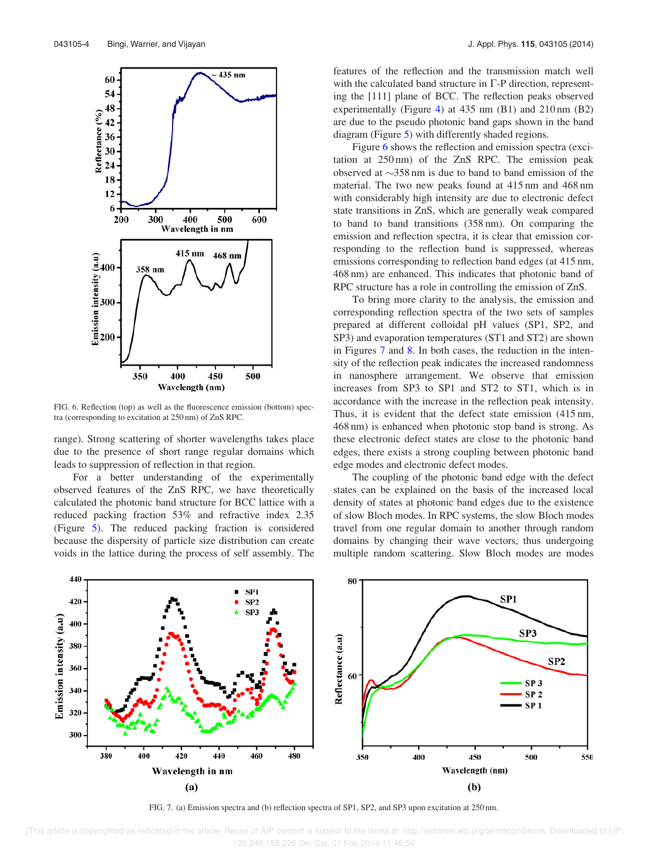

FIG. 6. Reflection (top) as well as the fluorescence emission (bottom) spectra (corresponding to excitation at 250 nm) of ZnS RPC.

range). Strong scattering of shorter wavelengths takes place due to the presence of short range regular domains which leads to suppression of reflection in that region.

For a better understanding of the experimentally observed features of the ZnS RPC, we have theoretically calculated the photonic band structure for BCC lattice with a reduced packing fraction 53% and refractive index 2.35 (Figure 5). The reduced packing fraction is considered because the dispersity of particle size distribution can create voids in the lattice during the process of self assembly. The features of the reflection and the transmission match well with the calculated band structure in  $\Gamma$ -P direction, representing the [111] plane of BCC. The reflection peaks observed experimentally (Figure 4) at 435 nm (B1) and 210 nm (B2) are due to the pseudo photonic band gaps shown in the band diagram (Figure 5) with differently shaded regions.

Figure 6 shows the reflection and emission spectra (excitation at 250 nm) of the ZnS RPC. The emission peak observed at  $\sim$ 358 nm is due to band to band emission of the material. The two new peaks found at 415 nm and 468 nm with considerably high intensity are due to electronic defect state transitions in ZnS, which are generally weak compared to band to band transitions (358 nm). On comparing the emission and reflection spectra, it is clear that emission corresponding to the reflection band is suppressed, whereas emissions corresponding to reflection band edges (at 415 nm, 468 nm) are enhanced. This indicates that photonic band of RPC structure has a role in controlling the emission of ZnS.

To bring more clarity to the analysis, the emission and corresponding reflection spectra of the two sets of samples prepared at different colloidal pH values (SP1, SP2, and SP3) and evaporation temperatures (ST1 and ST2) are shown in Figures 7 and 8. In both cases, the reduction in the intensity of the reflection peak indicates the increased randomness in nanosphere arrangement. We observe that emission increases from SP3 to SP1 and ST2 to ST1, which is in accordance with the increase in the reflection peak intensity. Thus, it is evident that the defect state emission (415 nm, 468 nm) is enhanced when photonic stop band is strong. As these electronic defect states are close to the photonic band edges, there exists a strong coupling between photonic band edge modes and electronic defect modes.

The coupling of the photonic band edge with the defect states can be explained on the basis of the increased local density of states at photonic band edges due to the existence of slow Bloch modes. In RPC systems, the slow Bloch modes travel from one regular domain to another through random domains by changing their wave vectors, thus undergoing multiple random scattering. Slow Bloch modes are modes



FIG. 7. (a) Emission spectra and (b) reflection spectra of SP1, SP2, and SP3 upon excitation at 250 nm.